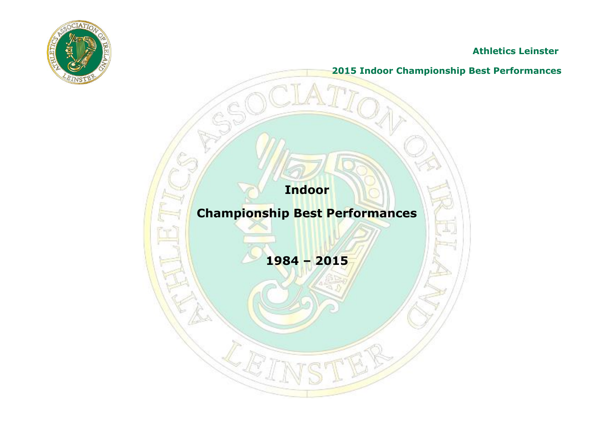

**Athletics Leinster**

**2015 Indoor Championship Best Performances**

**Indoor**

## **Championship Best Performances**

**1984 – 2015**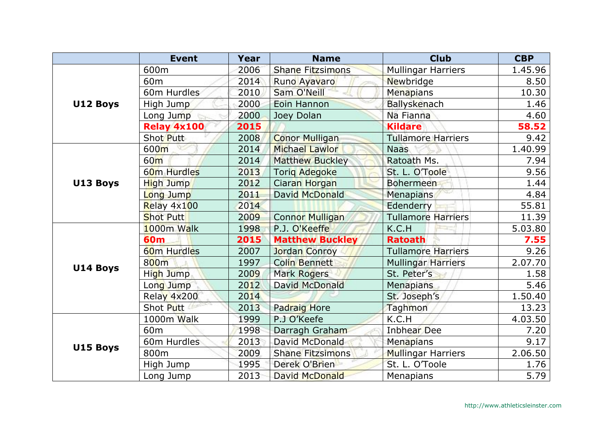|          | <b>Event</b>            | Year | <b>Name</b>             | <b>Club</b>               | <b>CBP</b> |
|----------|-------------------------|------|-------------------------|---------------------------|------------|
|          | 600m                    | 2006 | <b>Shane Fitzsimons</b> | <b>Mullingar Harriers</b> | 1.45.96    |
|          | 60 <sub>m</sub>         | 2014 | Runo Ayavaro            | Newbridge                 | 8.50       |
|          | 60m Hurdles             | 2010 | Sam O'Neill             | Menapians                 | 10.30      |
| U12 Boys | High Jump               | 2000 | Eoin Hannon             | <b>Ballyskenach</b>       | 1.46       |
|          | Long Jump               | 2000 | Joey Dolan              | Na Fianna                 | 4.60       |
|          | Relay 4x100             | 2015 |                         | <b>Kildare</b>            | 58.52      |
|          | Shot Putt               | 2008 | <b>Conor Mulligan</b>   | <b>Tullamore Harriers</b> | 9.42       |
|          | 600m                    | 2014 | <b>Michael Lawlor</b>   | <b>Naas</b>               | 1.40.99    |
|          | 60 <sub>m</sub>         | 2014 | <b>Matthew Buckley</b>  | Ratoath Ms.               | 7.94       |
|          | 60m Hurdles             | 2013 | <b>Torig Adegoke</b>    | St. L. O'Toole            | 9.56       |
| U13 Boys | High Jump               | 2012 | Ciaran Horgan           | <b>Bohermeen</b>          | 1.44       |
|          | Long Jump               | 2011 | David McDonald          | Menapians                 | 4.84       |
|          | Relay 4x100             | 2014 |                         | Edenderry                 | 55.81      |
|          | <b>Shot Putt</b>        | 2009 | <b>Connor Mulligan</b>  | <b>Tullamore Harriers</b> | 11.39      |
|          | 1000m Walk              | 1998 | P.J. O'Keeffe           | K.C.H                     | 5.03.80    |
|          | <b>60m</b>              | 2015 | <b>Matthew Buckley</b>  | <b>Ratoath</b>            | 7.55       |
|          | 60 <sub>m</sub> Hurdles | 2007 | <b>Jordan Conroy</b>    | <b>Tullamore Harriers</b> | 9.26       |
| U14 Boys | 800m                    | 1997 | <b>Colin Bennett</b>    | <b>Mullingar Harriers</b> | 2.07.70    |
|          | High Jump               | 2009 | <b>Mark Rogers</b>      | St. Peter's               | 1.58       |
|          | Long Jump               | 2012 | David McDonald          | <b>Menapians</b>          | 5.46       |
|          | Relay 4x200             | 2014 |                         | St. Joseph's              | 1.50.40    |
|          | Shot Putt               | 2013 | <b>Padraig Hore</b>     | Taghmon                   | 13.23      |
|          | 1000m Walk              | 1999 | P.J O'Keefe             | K.C.H                     | 4.03.50    |
|          | 60 <sub>m</sub>         | 1998 | Darragh Graham          | <b>Inbhear</b> Dee        | 7.20       |
|          | 60m Hurdles             | 2013 | David McDonald          | <b>Menapians</b>          | 9.17       |
| U15 Boys | 800m                    | 2009 | <b>Shane Fitzsimons</b> | <b>Mullingar Harriers</b> | 2.06.50    |
|          | High Jump               | 1995 | Derek O'Brien           | St. L. O'Toole            | 1.76       |
|          | Long Jump               | 2013 | <b>David McDonald</b>   | Menapians                 | 5.79       |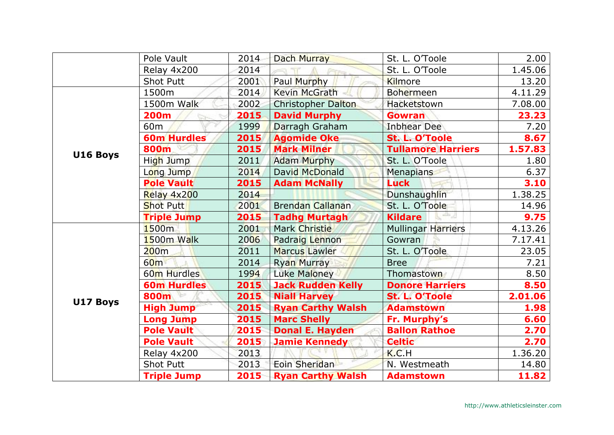|                                                                                                                                                                                                                                                                                                                                           | Pole Vault         | 2014 | Dach Murray               | St. L. O'Toole            | 2.00    |
|-------------------------------------------------------------------------------------------------------------------------------------------------------------------------------------------------------------------------------------------------------------------------------------------------------------------------------------------|--------------------|------|---------------------------|---------------------------|---------|
|                                                                                                                                                                                                                                                                                                                                           | Relay 4x200        | 2014 |                           | St. L. O'Toole            | 1.45.06 |
|                                                                                                                                                                                                                                                                                                                                           | <b>Shot Putt</b>   | 2001 | Paul Murphy               | Kilmore                   | 13.20   |
|                                                                                                                                                                                                                                                                                                                                           | 1500m              | 2014 | <b>Kevin McGrath</b>      | <b>Bohermeen</b>          | 4.11.29 |
|                                                                                                                                                                                                                                                                                                                                           | 1500m Walk         | 2002 | <b>Christopher Dalton</b> | Hacketstown               | 7.08.00 |
|                                                                                                                                                                                                                                                                                                                                           | <b>200m</b>        | 2015 | <b>David Murphy</b>       | Gowran                    | 23.23   |
|                                                                                                                                                                                                                                                                                                                                           | 60m                | 1999 | Darragh Graham            | <b>Inbhear Dee</b>        | 7.20    |
|                                                                                                                                                                                                                                                                                                                                           | <b>60m Hurdles</b> | 2015 | <b>Agomide Oke</b>        | St. L. O'Toole            | 8.67    |
| U16 Boys                                                                                                                                                                                                                                                                                                                                  | 800m               | 2015 | <b>Mark Milner</b>        | <b>Tullamore Harriers</b> | 1.57.83 |
|                                                                                                                                                                                                                                                                                                                                           | High Jump          | 2011 | <b>Adam Murphy</b>        | St. L. O'Toole            | 1.80    |
|                                                                                                                                                                                                                                                                                                                                           | Long Jump          | 2014 | David McDonald            | Menapians                 | 6.37    |
|                                                                                                                                                                                                                                                                                                                                           | <b>Pole Vault</b>  |      | <b>Adam McNally</b>       | <b>Luck</b>               | 3.10    |
|                                                                                                                                                                                                                                                                                                                                           | Relay 4x200        | 2014 |                           | Dunshaughlin              | 1.38.25 |
|                                                                                                                                                                                                                                                                                                                                           | <b>Shot Putt</b>   | 2001 | <b>Brendan Callanan</b>   | St. L. O'Toole            | 14.96   |
|                                                                                                                                                                                                                                                                                                                                           | <b>Triple Jump</b> | 2015 | <b>Tadhg Murtagh</b>      | <b>Kildare</b>            | 9.75    |
|                                                                                                                                                                                                                                                                                                                                           | 1500m              | 2001 | Mark Christie             | Mullingar Harriers        | 4.13.26 |
|                                                                                                                                                                                                                                                                                                                                           | 1500m Walk         | 2006 | <b>Padraig Lennon</b>     | Gowran                    | 7.17.41 |
| 2015<br><b>Capit</b><br>200m<br>2011<br><b>Marcus Lawler</b><br>St. L. O'Toole<br>2014<br>60 <sub>m</sub><br><b>Ryan Murray</b><br><b>Bree</b><br>60m Hurdles<br><b>Luke Maloney</b><br>Thomastown<br>1994<br>2015<br><b>60m Hurdles</b><br><b>Jack Rudden Kelly</b><br>2015<br><b>Niall Harvey</b><br>St. L. O'Toole<br>800m<br>U17 Boys |                    |      |                           |                           | 23.05   |
|                                                                                                                                                                                                                                                                                                                                           |                    | 7.21 |                           |                           |         |
|                                                                                                                                                                                                                                                                                                                                           |                    |      |                           |                           | 8.50    |
|                                                                                                                                                                                                                                                                                                                                           |                    |      |                           | <b>Donore Harriers</b>    | 8.50    |
|                                                                                                                                                                                                                                                                                                                                           |                    |      |                           |                           | 2.01.06 |
|                                                                                                                                                                                                                                                                                                                                           | <b>High Jump</b>   | 2015 | <b>Ryan Carthy Walsh</b>  | <b>Adamstown</b>          | 1.98    |
|                                                                                                                                                                                                                                                                                                                                           | <b>Long Jump</b>   | 2015 | <b>Marc Shelly</b>        | Fr. Murphy's              | 6.60    |
|                                                                                                                                                                                                                                                                                                                                           | <b>Pole Vault</b>  | 2015 | <b>Donal E. Hayden</b>    | <b>Ballon Rathoe</b>      | 2.70    |
|                                                                                                                                                                                                                                                                                                                                           | <b>Pole Vault</b>  | 2015 | <b>Jamie Kennedy</b>      | <b>Celtic</b>             | 2.70    |
|                                                                                                                                                                                                                                                                                                                                           | Relay 4x200        | 2013 |                           | K.C.H                     | 1.36.20 |
|                                                                                                                                                                                                                                                                                                                                           | <b>Shot Putt</b>   | 2013 | Eoin Sheridan             | N. Westmeath              | 14.80   |
|                                                                                                                                                                                                                                                                                                                                           | <b>Triple Jump</b> | 2015 | <b>Ryan Carthy Walsh</b>  | <b>Adamstown</b>          | 11.82   |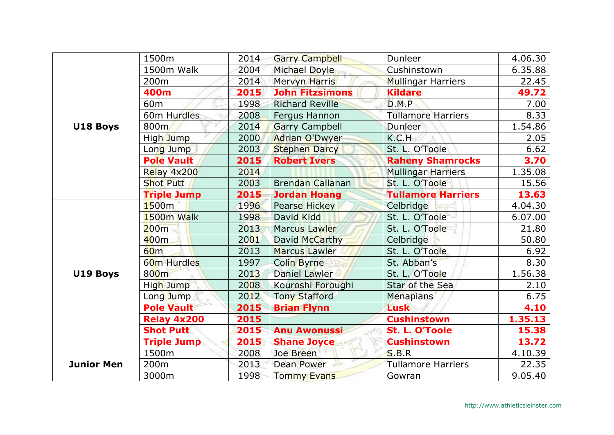|                   | 1500m              | 2014 | <b>Garry Campbell</b>   | Dunleer                   | 4.06.30 |
|-------------------|--------------------|------|-------------------------|---------------------------|---------|
|                   | 1500m Walk         | 2004 | Michael Doyle           | Cushinstown               | 6.35.88 |
|                   | 200m               | 2014 | Mervyn Harris           | <b>Mullingar Harriers</b> | 22.45   |
|                   | 400m               | 2015 | <b>John Fitzsimons</b>  | <b>Kildare</b>            | 49.72   |
|                   | 60 <sub>m</sub>    | 1998 | <b>Richard Reville</b>  | D.M.P                     | 7.00    |
|                   | 60m Hurdles        | 2008 | Fergus Hannon           | <b>Tullamore Harriers</b> | 8.33    |
| U18 Boys          | 800 <sub>m</sub>   | 2014 | <b>Garry Campbell</b>   | <b>Dunleer</b>            | 1.54.86 |
|                   | High Jump          | 2000 | <b>Adrian O'Dwyer</b>   | K.C.H                     | 2.05    |
|                   | Long Jump          | 2003 | <b>Stephen Darcy</b>    | St. L. O'Toole            | 6.62    |
|                   | <b>Pole Vault</b>  | 2015 | <b>Robert Ivers</b>     | <b>Raheny Shamrocks</b>   | 3.70    |
|                   | Relay 4x200        | 2014 |                         | <b>Mullingar Harriers</b> | 1.35.08 |
|                   | <b>Shot Putt</b>   | 2003 | <b>Brendan Callanan</b> | St. L. O'Toole            | 15.56   |
|                   | <b>Triple Jump</b> | 2015 | <b>Jordan Hoang</b>     | <b>Tullamore Harriers</b> | 13.63   |
|                   | 1500 <sub>m</sub>  | 1996 | <b>Pearse Hickey</b>    | Celbridge                 | 4.04.30 |
|                   | 1500m Walk         | 1998 | David Kidd              | St. L. O'Toole            | 6.07.00 |
|                   | 200m               | 2013 | <b>Marcus Lawler</b>    | St. L. O'Toole            | 21.80   |
|                   | 400m               | 2001 | David McCarthy          | Celbridge                 | 50.80   |
|                   | 60 <sub>m</sub>    | 2013 | <b>Marcus Lawler</b>    | St. L. O'Toole            | 6.92    |
|                   | 60m Hurdles        | 1997 | <b>Colin Byrne</b>      | St. Abban's               | 8.30    |
| U19 Boys          | 800m               | 2013 | <b>Daniel Lawler</b>    | St. L. O'Toole            | 1.56.38 |
|                   | High Jump          | 2008 | Kouroshi Foroughi       | Star of the Sea           | 2.10    |
|                   | Long Jump          | 2012 | <b>Tony Stafford</b>    | <b>Menapians</b>          | 6.75    |
|                   | <b>Pole Vault</b>  | 2015 | <b>Brian Flynn</b>      | <b>Lusk</b>               | 4.10    |
|                   | <b>Relay 4x200</b> | 2015 |                         | <b>Cushinstown</b>        | 1.35.13 |
|                   | <b>Shot Putt</b>   | 2015 | <b>Anu Awonussi</b>     | St. L. O'Toole            | 15.38   |
|                   | <b>Triple Jump</b> | 2015 | <b>Shane Joyce</b>      | <b>Cushinstown</b>        | 13.72   |
|                   | 1500m              | 2008 | Joe Breen               | <b>S.B.R</b>              | 4.10.39 |
| <b>Junior Men</b> | 200m               | 2013 | Dean Power              | <b>Tullamore Harriers</b> | 22.35   |
|                   | 3000m              | 1998 | <b>Tommy Evans</b>      | Gowran                    | 9.05.40 |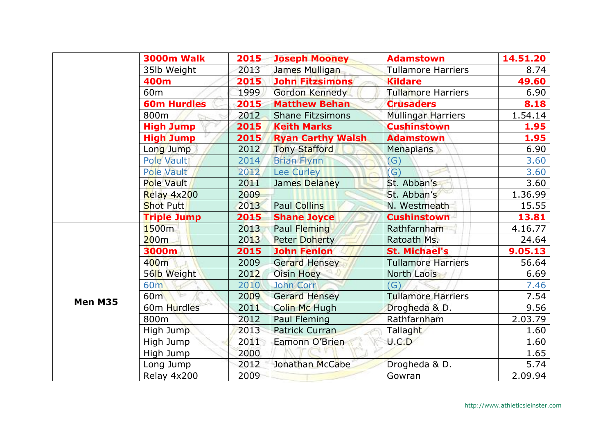|         | <b>3000m Walk</b>  | 2015 | <b>Joseph Mooney</b>     | <b>Adamstown</b>          | 14.51.20 |
|---------|--------------------|------|--------------------------|---------------------------|----------|
|         | 35lb Weight        | 2013 | James Mulligan           | <b>Tullamore Harriers</b> | 8.74     |
|         | 400m               | 2015 | <b>John Fitzsimons</b>   | <b>Kildare</b>            | 49.60    |
|         | 60 <sub>m</sub>    | 1999 | Gordon Kennedy           | <b>Tullamore Harriers</b> | 6.90     |
|         | <b>60m Hurdles</b> | 2015 | <b>Matthew Behan</b>     | <b>Crusaders</b>          | 8.18     |
|         | 800m               | 2012 | <b>Shane Fitzsimons</b>  | <b>Mullingar Harriers</b> | 1.54.14  |
|         | <b>High Jump</b>   | 2015 | <b>Keith Marks</b>       | <b>Cushinstown</b>        | 1.95     |
|         | <b>High Jump</b>   | 2015 | <b>Ryan Carthy Walsh</b> | <b>Adamstown</b>          | 1.95     |
|         | Long Jump          | 2012 | <b>Tony Stafford</b>     | <b>Menapians</b>          | 6.90     |
|         | Pole Vault         | 2014 | <b>Brian Flynn</b>       | (G)                       | 3.60     |
|         | <b>Pole Vault</b>  | 2012 | Lee Curley               | $\mathcal{G}$             | 3.60     |
|         | Pole Vault         | 2011 | James Delaney            | St. Abban's               | 3.60     |
|         | Relay 4x200        | 2009 |                          | St. Abban's               | 1.36.99  |
|         | <b>Shot Putt</b>   | 2013 | <b>Paul Collins</b>      | N. Westmeath              | 15.55    |
|         | <b>Triple Jump</b> | 2015 | <b>Shane Joyce</b>       | <b>Cushinstown</b>        | 13.81    |
|         | 1500m              | 2013 | Paul Fleming             | Rathfarnham               | 4.16.77  |
|         | 200m               | 2013 | <b>Peter Doherty</b>     | Ratoath Ms.               | 24.64    |
|         | 3000m              | 2015 | <b>John Fenlon</b>       | <b>St. Michael's</b>      | 9.05.13  |
|         | 400m               | 2009 | <b>Gerard Hensey</b>     | <b>Tullamore Harriers</b> | 56.64    |
|         | 56lb Weight        | 2012 | Oisin Hoey               | North Laois               | 6.69     |
|         | 60 <sub>m</sub>    | 2010 | John Corr                | (G)                       | 7.46     |
| Men M35 | 60m                | 2009 | <b>Gerard Hensey</b>     | <b>Tullamore Harriers</b> | 7.54     |
|         | 60m Hurdles        | 2011 | Colin Mc Hugh            | Drogheda & D.             | 9.56     |
|         | 800m               | 2012 | Paul Fleming             | Rathfarnham               | 2.03.79  |
|         | High Jump          | 2013 | Patrick Curran           | Tallaght                  | 1.60     |
|         | High Jump          | 2011 | Eamonn O'Brien           | U.C.D                     | 1.60     |
|         | High Jump          | 2000 |                          |                           | 1.65     |
|         | Long Jump          | 2012 | Jonathan McCabe          | Drogheda & D.             | 5.74     |
|         | Relay 4x200        | 2009 |                          | Gowran                    | 2.09.94  |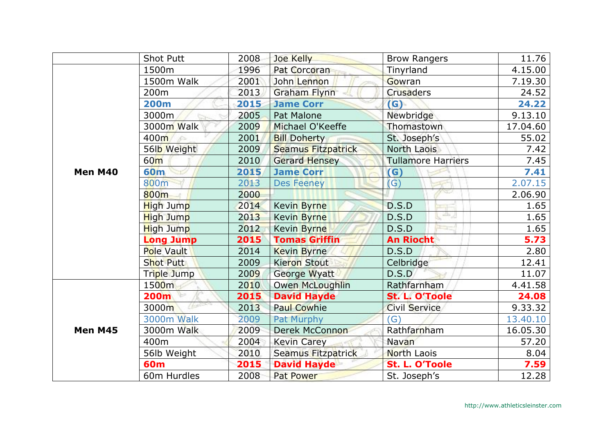|         | <b>Shot Putt</b>  | 2008 | Joe Kelly                 | <b>Brow Rangers</b>       | 11.76    |
|---------|-------------------|------|---------------------------|---------------------------|----------|
|         | 1500m             | 1996 | <b>Pat Corcoran</b>       | Tinyrland                 | 4.15.00  |
|         | 1500m Walk        | 2001 | John Lennon               | Gowran                    | 7.19.30  |
|         | 200 <sub>m</sub>  | 2013 | Graham Flynn              | <b>Crusaders</b>          | 24.52    |
|         | <b>200m</b>       | 2015 | <b>Jame Corr</b>          | (G)                       | 24.22    |
|         | 3000m             | 2005 | Pat Malone                | Newbridge                 | 9.13.10  |
|         | 3000m Walk        | 2009 | Michael O'Keeffe          | Thomastown                | 17.04.60 |
|         | 400m              | 2001 | <b>Bill Doherty</b>       | St. Joseph's              | 55.02    |
|         | 56lb Weight       | 2009 | <b>Seamus Fitzpatrick</b> | <b>North Laois</b>        | 7.42     |
|         | 60 <sub>m</sub>   | 2010 | <b>Gerard Hensey</b>      | <b>Tullamore Harriers</b> | 7.45     |
| Men M40 | <b>60m</b>        | 2015 | <b>Jame Corr</b>          | (G)                       | 7.41     |
|         | 800m              | 2013 | <b>Des Feeney</b>         | (G)                       | 2.07.15  |
|         | 800m              | 2000 |                           |                           | 2.06.90  |
|         | High Jump         | 2014 | <b>Kevin Byrne</b>        | D.S.D                     | 1.65     |
|         | <b>High Jump</b>  | 2013 | <b>Kevin Byrne</b>        | 족기<br>D.S.D               | 1.65     |
|         | <b>High Jump</b>  | 2012 | <b>Kevin Byrne</b>        | D.S.D                     | 1.65     |
|         | <b>Long Jump</b>  | 2015 | <b>Tomas Griffin</b>      | <b>An Riocht</b>          | 5.73     |
|         | <b>Pole Vault</b> | 2014 | <b>Kevin Byrne</b>        | D.S.D                     | 2.80     |
|         | <b>Shot Putt</b>  | 2009 | <b>Kieron Stout</b>       | Celbridge                 | 12.41    |
| Men M45 | Triple Jump       | 2009 | George Wyatt              | D.S.D                     | 11.07    |
|         | 1500m             | 2010 | <b>Owen McLoughlin</b>    | Rathfarnham               | 4.41.58  |
|         | 200m              | 2015 | <b>David Hayde</b>        | St. L. O'Toole            | 24.08    |
|         | 3000m             | 2013 | <b>Paul Cowhie</b>        | <b>Civil Service</b>      | 9.33.32  |
|         | <b>3000m Walk</b> | 2009 | Pat Murphy                | (G)                       | 13.40.10 |
|         | 3000m Walk        | 2009 | <b>Derek McConnon</b>     | Rathfarnham               | 16.05.30 |
|         | 400m              | 2004 | <b>Kevin Carey</b>        | Navan                     | 57.20    |
|         | 56lb Weight       | 2010 | Seamus Fitzpatrick        | <b>North Laois</b>        | 8.04     |
|         | <b>60m</b>        | 2015 | <b>David Hayde</b>        | St. L. O'Toole            | 7.59     |
|         | 60m Hurdles       | 2008 | <b>Pat Power</b>          | St. Joseph's              | 12.28    |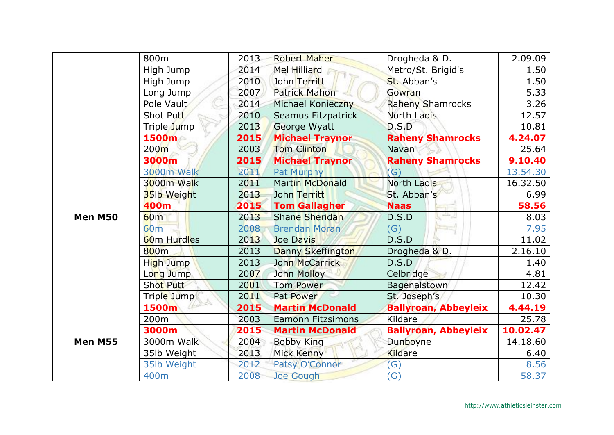|                | 800m             | 2013 | <b>Robert Maher</b>      | Drogheda & D.               | 2.09.09  |
|----------------|------------------|------|--------------------------|-----------------------------|----------|
|                | High Jump        | 2014 | Mel Hilliard             | Metro/St. Brigid's          | 1.50     |
|                | High Jump        | 2010 | John Territt             | St. Abban's                 | 1.50     |
|                | Long Jump        | 2007 | <b>Patrick Mahon</b>     | Gowran                      | 5.33     |
|                | Pole Vault       | 2014 | Michael Konieczny        | <b>Raheny Shamrocks</b>     | 3.26     |
|                | Shot Putt        | 2010 | Seamus Fitzpatrick       | North Laois                 | 12.57    |
|                | Triple Jump      | 2013 | George Wyatt             | D.S.D                       | 10.81    |
|                | 1500m            | 2015 | <b>Michael Traynor</b>   | <b>Raheny Shamrocks</b>     | 4.24.07  |
|                | 200 <sub>m</sub> | 2003 | <b>Tom Clinton</b>       | Navan                       | 25.64    |
|                | 3000m            | 2015 | <b>Michael Traynor</b>   | <b>Raheny Shamrocks</b>     | 9.10.40  |
|                | 3000m Walk       | 2011 | Pat Murphy               | $\mathcal{G}$               | 13.54.30 |
|                | 3000m Walk       | 2011 | <b>Martin McDonald</b>   | North Laois                 | 16.32.50 |
|                | 35lb Weight      | 2013 | John Territt             | St. Abban's                 | 6.99     |
|                | 400m             | 2015 | <b>Tom Gallagher</b>     | <b>Naas</b>                 | 58.56    |
| Men M50        | 60 <sub>m</sub>  | 2013 | <b>Shane Sheridan</b>    | 55<br>D.S.D                 | 8.03     |
|                | 60 <sub>m</sub>  | 2008 | <b>Brendan Moran</b>     | (G)                         | 7.95     |
|                | 60m Hurdles      | 2013 | Joe Davis                | D.S.D                       | 11.02    |
|                | 800m             | 2013 | Danny Skeffington        | Drogheda & D.               | 2.16.10  |
|                | High Jump        | 2013 | John McCarrick           | D.S.D                       | 1.40     |
|                | Long Jump        | 2007 | John Molloy              | Celbridge                   | 4.81     |
|                | <b>Shot Putt</b> | 2001 | <b>Tom Power</b>         | Bagenalstown                | 12.42    |
|                | Triple Jump      | 2011 | Pat Power                | St. Joseph's                | 10.30    |
|                | 1500m            | 2015 | <b>Martin McDonald</b>   | <b>Ballyroan, Abbeyleix</b> | 4.44.19  |
| <b>Men M55</b> | 200 <sub>m</sub> | 2003 | <b>Eamonn Fitzsimons</b> | Kildare                     | 25.78    |
|                | 3000m            | 2015 | <b>Martin McDonald</b>   | <b>Ballyroan, Abbeyleix</b> | 10.02.47 |
|                | 3000m Walk       | 2004 | <b>Bobby King</b>        | Dunboyne                    | 14.18.60 |
|                | 35lb Weight      | 2013 | Mick Kenny               | <b>Kildare</b>              | 6.40     |
|                | 35lb Weight      | 2012 | Patsy O'Connor           | (G)                         | 8.56     |
|                | 400m             | 2008 | Joe Gough                | (G)                         | 58.37    |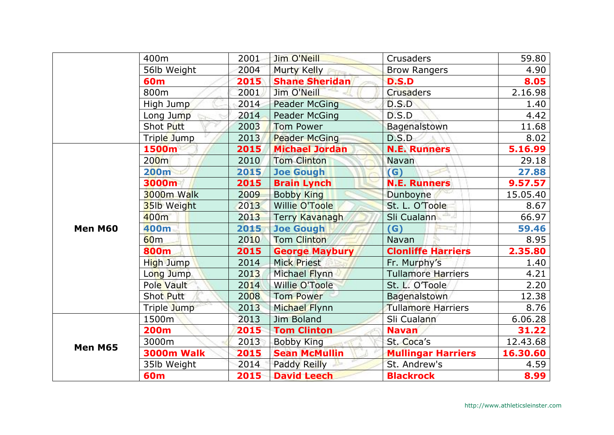|         | 400m               | 2001                                                                     | Jim O'Neill           | <b>Crusaders</b>                                                                                                                                                                                                      | 59.80    |
|---------|--------------------|--------------------------------------------------------------------------|-----------------------|-----------------------------------------------------------------------------------------------------------------------------------------------------------------------------------------------------------------------|----------|
|         | 56lb Weight        | 2004                                                                     | Murty Kelly           | <b>Brow Rangers</b>                                                                                                                                                                                                   | 4.90     |
|         | <b>60m</b>         | 2015                                                                     | <b>Shane Sheridan</b> | <b>D.S.D</b>                                                                                                                                                                                                          | 8.05     |
|         | 800m               | 2001                                                                     | Jim O'Neill           | <b>Crusaders</b>                                                                                                                                                                                                      | 2.16.98  |
|         | High Jump          | 2014                                                                     | <b>Peader McGing</b>  | D.S.D                                                                                                                                                                                                                 | 1.40     |
|         | Long Jump          | 2014                                                                     | Peader McGing         | D.S.D                                                                                                                                                                                                                 | 4.42     |
|         | Shot Putt          | 2003                                                                     | <b>Tom Power</b>      | Bagenalstown                                                                                                                                                                                                          | 11.68    |
|         | Triple Jump        | 2013                                                                     | <b>Peader McGing</b>  | D.S.D                                                                                                                                                                                                                 | 8.02     |
|         | 1500m              | 2015                                                                     | <b>Michael Jordan</b> | <b>N.E. Runners</b>                                                                                                                                                                                                   | 5.16.99  |
|         | 200 <sub>m</sub>   | 2010                                                                     | <b>Tom Clinton</b>    | Navan                                                                                                                                                                                                                 | 29.18    |
|         | <b>200m</b>        | 2015                                                                     | <b>Joe Gough</b>      | $\mathsf{G}$                                                                                                                                                                                                          | 27.88    |
|         | 3000m              | 2015                                                                     |                       | <b>N.E. Runners</b>                                                                                                                                                                                                   | 9.57.57  |
|         | 3000m Walk         | 2009                                                                     | <b>Bobby King</b>     | Dunboyne                                                                                                                                                                                                              | 15.05.40 |
|         | <b>35lb Weight</b> | 2013                                                                     | Willie O'Toole        | St. L. O'Toole                                                                                                                                                                                                        | 8.67     |
|         | 400m               | 2013                                                                     | Terry Kavanagh        |                                                                                                                                                                                                                       | 66.97    |
| Men M60 | 400m               | 2015                                                                     | <b>Joe Gough</b>      | $\mathsf{(G)}$                                                                                                                                                                                                        | 59.46    |
|         | 60 <sub>m</sub>    | 2010                                                                     | <b>Tom Clinton</b>    | Navan                                                                                                                                                                                                                 | 8.95     |
|         | 800m               | 2015                                                                     | <b>George Maybury</b> | <b>Clonliffe Harriers</b>                                                                                                                                                                                             | 2.35.80  |
|         | High Jump          | 2014                                                                     | Mick Priest           | Fr. Murphy's                                                                                                                                                                                                          | 1.40     |
|         | Long Jump          | 2013                                                                     | Michael Flynn         | Sli Cualann<br><b>Tullamore Harriers</b><br>St. L. O'Toole<br>Bagenalstown<br><b>Tullamore Harriers</b><br>Sli Cualann<br><b>Navan</b><br>St. Coca's<br><b>Mullingar Harriers</b><br>St. Andrew's<br><b>Blackrock</b> | 4.21     |
|         | Pole Vault         | 2014                                                                     | <b>Willie O'Toole</b> |                                                                                                                                                                                                                       | 2.20     |
|         | Shot Putt          | 2008                                                                     | <b>Tom Power</b>      |                                                                                                                                                                                                                       | 12.38    |
|         | Triple Jump        | 2013                                                                     | Michael Flynn         |                                                                                                                                                                                                                       | 8.76     |
|         | 1500m              | 2013                                                                     | Jim Boland            |                                                                                                                                                                                                                       | 6.06.28  |
|         | <b>200m</b>        | 2015                                                                     | <b>Tom Clinton</b>    |                                                                                                                                                                                                                       | 31.22    |
| Men M65 | 3000m              | 2013                                                                     | <b>Bobby King</b>     |                                                                                                                                                                                                                       | 12.43.68 |
|         | <b>3000m Walk</b>  | 2015                                                                     | <b>Sean McMullin</b>  |                                                                                                                                                                                                                       | 16.30.60 |
|         | 35lb Weight        | <b>Brain Lynch</b><br>2014<br>Paddy Reilly<br>2015<br><b>David Leech</b> |                       | 4.59                                                                                                                                                                                                                  |          |
|         | <b>60m</b>         |                                                                          |                       |                                                                                                                                                                                                                       | 8.99     |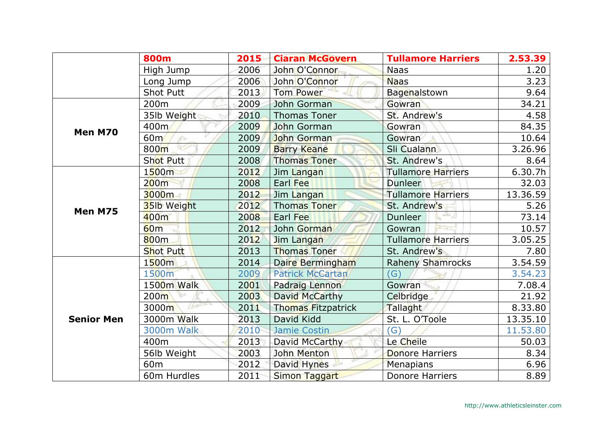|                   | <b>800m</b>          | 2015 | <b>Ciaran McGovern</b>    | <b>Tullamore Harriers</b> | 2.53.39  |
|-------------------|----------------------|------|---------------------------|---------------------------|----------|
|                   | High Jump            | 2006 | John O'Connor             | <b>Naas</b>               | 1.20     |
|                   | Long Jump            | 2006 | John O'Connor             | <b>Naas</b>               | 3.23     |
|                   | <b>Shot Putt</b>     | 2013 | <b>Tom Power</b>          | Bagenalstown              | 9.64     |
|                   | 200m                 | 2009 | John Gorman               | Gowran                    | 34.21    |
|                   | 35lb Weight          | 2010 | <b>Thomas Toner</b>       | St. Andrew's              | 4.58     |
| Men M70           | 400m                 | 2009 | John Gorman               | Gowran                    | 84.35    |
|                   | 60 <sub>m</sub><br>s | 2009 | John Gorman               | Gowran                    | 10.64    |
|                   | 800m                 | 2009 | <b>Barry Keane</b>        | Sli Cualann               | 3.26.96  |
|                   | <b>Shot Putt</b>     | 2008 | <b>Thomas Toner</b>       | St. Andrew's              | 8.64     |
|                   | 1500m                | 2012 | Jim Langan                | <b>Tullamore Harriers</b> | 6.30.7h  |
|                   | 200m                 | 2008 | Earl Fee                  | Dunleer                   | 32.03    |
|                   | 3000m                | 2012 | Jim Langan                | <b>Tullamore Harriers</b> | 13.36.59 |
| Men M75           | <b>35lb Weight</b>   | 2012 | <b>Thomas Toner</b>       | St. Andrew's              | 5.26     |
|                   | 400 <sub>m</sub>     | 2008 | Earl Fee                  | الرطابي<br>Dunleer        | 73.14    |
|                   | 60 <sub>m</sub>      | 2012 | John Gorman               | Gowran                    | 10.57    |
|                   | 800 <sub>m</sub>     | 2012 | Jim Langan                | <b>Tullamore Harriers</b> | 3.05.25  |
|                   | <b>Shot Putt</b>     | 2013 | <b>Thomas Toner</b>       | St. Andrew's              | 7.80     |
|                   | 1500m                | 2014 | Daire Bermingham          | <b>Raheny Shamrocks</b>   | 3.54.59  |
|                   | 1500m                | 2009 | <b>Patrick McCartan</b>   | $\mathcal{G}$             | 3.54.23  |
|                   | 1500m Walk           | 2001 | Padraig Lennon            | Gowran                    | 7.08.4   |
|                   | 200 <sub>m</sub>     | 2003 | David McCarthy            | Celbridge                 | 21.92    |
|                   | 3000m                | 2011 | <b>Thomas Fitzpatrick</b> | Tallaght                  | 8.33.80  |
| <b>Senior Men</b> | 3000m Walk           | 2013 | David Kidd                | St. L. O'Toole            | 13.35.10 |
|                   | <b>3000m Walk</b>    | 2010 | <b>Jamie Costin</b>       | G)                        | 11.53.80 |
|                   | 400m                 | 2013 | David McCarthy            | Le Cheile                 | 50.03    |
|                   | 56lb Weight          | 2003 | John Menton               | <b>Donore Harriers</b>    | 8.34     |
|                   | 60 <sub>m</sub>      | 2012 | David Hynes               | <b>Menapians</b>          | 6.96     |
|                   | 60m Hurdles          | 2011 | Simon Taggart             | <b>Donore Harriers</b>    | 8.89     |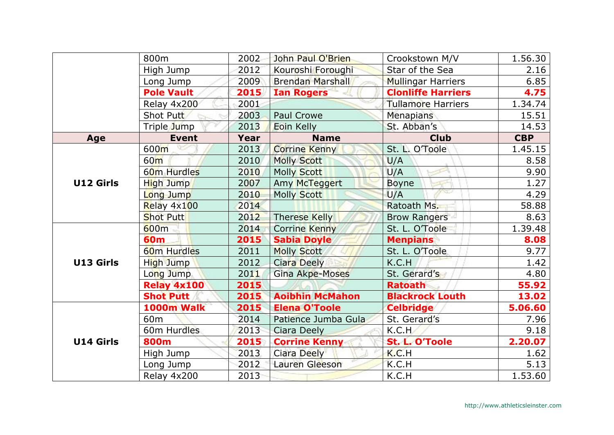|                  | 800m                    | 2002 | John Paul O'Brien       | Crookstown M/V            | 1.56.30    |
|------------------|-------------------------|------|-------------------------|---------------------------|------------|
|                  | High Jump               | 2012 | Kouroshi Foroughi       | Star of the Sea           | 2.16       |
|                  | Long Jump               | 2009 | <b>Brendan Marshall</b> | <b>Mullingar Harriers</b> | 6.85       |
|                  | <b>Pole Vault</b>       | 2015 | <b>Ian Rogers</b>       | <b>Clonliffe Harriers</b> | 4.75       |
|                  | Relay 4x200             | 2001 |                         | <b>Tullamore Harriers</b> | 1.34.74    |
|                  | Shot Putt               | 2003 | <b>Paul Crowe</b>       | Menapians                 | 15.51      |
|                  | Triple Jump             | 2013 | Eoin Kelly              | St. Abban's               | 14.53      |
| Age              | <b>Event</b>            | Year | <b>Name</b>             | <b>Club</b>               | <b>CBP</b> |
|                  | 600m                    | 2013 | <b>Corrine Kenny</b>    | St. L. O'Toole            | 1.45.15    |
|                  | 60 <sub>m</sub>         | 2010 | <b>Molly Scott</b>      | U/A                       | 8.58       |
|                  | 60 <sub>m</sub> Hurdles | 2010 | <b>Molly Scott</b>      | U/A                       | 9.90       |
| <b>U12 Girls</b> | High Jump               | 2007 | Amy McTeggert           | <b>Boyne</b>              | 1.27       |
|                  | Long Jump               | 2010 | <b>Molly Scott</b>      | U/A                       | 4.29       |
|                  | Relay 4x100             | 2014 |                         | Ratoath Ms.               | 58.88      |
|                  | <b>Shot Putt</b>        | 2012 | <b>Therese Kelly</b>    | <b>Brow Rangers</b>       | 8.63       |
|                  | 600m                    | 2014 | <b>Corrine Kenny</b>    | St. L. O'Toole            | 1.39.48    |
|                  | <b>60m</b>              | 2015 | <b>Sabia Doyle</b>      | <b>Menpians</b>           | 8.08       |
|                  | <b>60m Hurdles</b>      | 2011 | <b>Molly Scott</b>      | St. L. O'Toole            | 9.77       |
| U13 Girls        | High Jump               | 2012 | <b>Ciara Deely</b>      | K.C.H                     | 1.42       |
|                  | Long Jump               | 2011 | <b>Gina Akpe-Moses</b>  | St. Gerard's              | 4.80       |
|                  | Relay 4x100             | 2015 |                         | <b>Ratoath</b>            | 55.92      |
|                  | <b>Shot Putt</b>        | 2015 | <b>Aoibhin McMahon</b>  | <b>Blackrock Louth</b>    | 13.02      |
|                  | 1000m Walk              | 2015 | <b>Elena O'Toole</b>    | <b>Celbridge</b>          | 5.06.60    |
| <b>U14 Girls</b> | 60 <sub>m</sub>         | 2014 | Patience Jumba Gula     | St. Gerard's              | 7.96       |
|                  | 60m Hurdles             | 2013 | Ciara Deely             | K.C.H                     | 9.18       |
|                  | 800m                    | 2015 | <b>Corrine Kenny</b>    | St. L. O'Toole            | 2.20.07    |
|                  | High Jump               | 2013 | <b>Ciara Deely</b>      | K.C.H                     | 1.62       |
|                  | Long Jump               | 2012 | Lauren Gleeson          | K.C.H                     | 5.13       |
|                  | Relay 4x200             | 2013 |                         | K.C.H                     | 1.53.60    |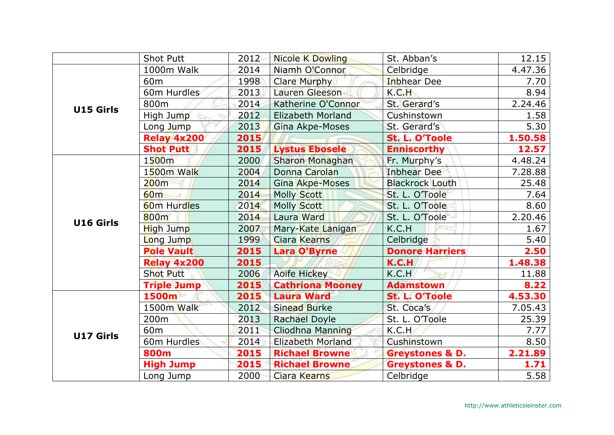|                  | <b>Shot Putt</b>   | 2012 | <b>Nicole K Dowling</b>  | St. Abban's                | 12.15   |
|------------------|--------------------|------|--------------------------|----------------------------|---------|
|                  | 1000m Walk         | 2014 | Niamh O'Connor           | Celbridge                  | 4.47.36 |
|                  | 60 <sub>m</sub>    | 1998 | <b>Clare Murphy</b>      | <b>Inbhear Dee</b>         | 7.70    |
|                  | 60m Hurdles        | 2013 | Lauren Gleeson           | K.C.H                      | 8.94    |
| <b>U15 Girls</b> | 800m               | 2014 | Katherine O'Connor       | St. Gerard's               | 2.24.46 |
|                  | High Jump          | 2012 | Elizabeth Morland        | Cushinstown                | 1.58    |
|                  | Long Jump          | 2013 | Gina Akpe-Moses          | St. Gerard's               | 5.30    |
|                  | Relay 4x200        | 2015 |                          | St. L. O'Toole             | 1.50.58 |
|                  | <b>Shot Putt</b>   | 2015 | <b>Lystus Ebosele</b>    | <b>Enniscorthy</b>         | 12.57   |
|                  | 1500m              | 2000 | <b>Sharon Monaghan</b>   | Fr. Murphy's               | 4.48.24 |
|                  | 1500m Walk         | 2004 | Donna Carolan            | <b>Inbhear Dee</b>         | 7.28.88 |
|                  | 200m               | 2014 | Gina Akpe-Moses          | <b>Blackrock Louth</b>     | 25.48   |
|                  | 60 <sub>m</sub>    | 2014 | <b>Molly Scott</b>       | St. L. O'Toole             | 7.64    |
|                  | <b>60m Hurdles</b> | 2014 | <b>Molly Scott</b>       | St. L. O'Toole             | 8.60    |
| U16 Girls        | 800 <sub>m</sub>   | 2014 | Laura Ward               | St. L. O'Toole             | 2.20.46 |
|                  | <b>High Jump</b>   | 2007 | Mary-Kate Lanigan        | K.C.H                      | 1.67    |
|                  | Long Jump          | 1999 | <b>Ciara Kearns</b>      | Celbridge                  | 5.40    |
|                  | <b>Pole Vault</b>  | 2015 | <b>Lara O'Byrne</b>      | <b>Donore Harriers</b>     | 2.50    |
|                  | <b>Relay 4x200</b> | 2015 |                          | K.C.H                      | 1.48.38 |
|                  | <b>Shot Putt</b>   | 2006 | Aoife Hickey             | K.C.H                      | 11.88   |
|                  | <b>Triple Jump</b> | 2015 | <b>Cathriona Mooney</b>  | <b>Adamstown</b>           | 8.22    |
|                  | 1500m              | 2015 | <b>Laura Ward</b>        | St. L. O'Toole             | 4.53.30 |
|                  | 1500m Walk         | 2012 | <b>Sinead Burke</b>      | St. Coca's                 | 7.05.43 |
|                  | 200 <sub>m</sub>   | 2013 | Rachael Doyle            | St. L. O'Toole             | 25.39   |
| <b>U17 Girls</b> | 60 <sub>m</sub>    | 2011 | Cliodhna Manning         | K.C.H                      | 7.77    |
|                  | 60m Hurdles        | 2014 | <b>Elizabeth Morland</b> | Cushinstown                | 8.50    |
|                  | 800m               | 2015 | <b>Richael Browne</b>    | <b>Greystones &amp; D.</b> | 2.21.89 |
|                  | <b>High Jump</b>   | 2015 | <b>Richael Browne</b>    | <b>Greystones &amp; D.</b> | 1.71    |
|                  | Long Jump          | 2000 | Ciara Kearns             | Celbridge                  | 5.58    |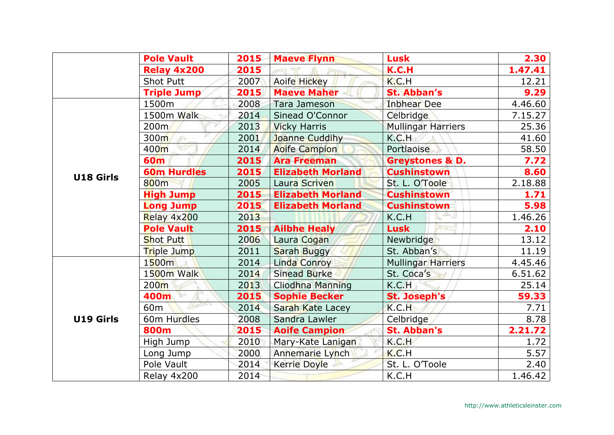|                  | <b>Pole Vault</b>  | 2015 | <b>Maeve Flynn</b>       | <b>Lusk</b>                | 2.30    |
|------------------|--------------------|------|--------------------------|----------------------------|---------|
|                  | <b>Relay 4x200</b> | 2015 |                          | K.C.H                      | 1.47.41 |
|                  | <b>Shot Putt</b>   | 2007 | Aoife Hickey             | K.C.H                      | 12.21   |
|                  | <b>Triple Jump</b> | 2015 | <b>Maeve Maher</b>       | <b>St. Abban's</b>         | 9.29    |
|                  | 1500m              | 2008 | <b>Tara Jameson</b>      | <b>Inbhear Dee</b>         | 4.46.60 |
|                  | 1500m Walk         | 2014 | Sinead O'Connor          | Celbridge                  | 7.15.27 |
|                  | 200 <sub>m</sub>   | 2013 | <b>Vicky Harris</b>      | <b>Mullingar Harriers</b>  | 25.36   |
|                  | 300m<br>s          | 2001 | Joanne Cuddihy           | K.C.H                      | 41.60   |
|                  | 400m               | 2014 | <b>Aoife Campion</b>     | Portlaoise                 | 58.50   |
|                  | <b>60m</b>         | 2015 | <b>Ara Freeman</b>       | <b>Greystones &amp; D.</b> | 7.72    |
| U18 Girls        | <b>60m Hurdles</b> | 2015 | <b>Elizabeth Morland</b> | <b>Cushinstown</b>         | 8.60    |
|                  | 800m               | 2005 | Laura Scriven            | St. L. O'Toole             | 2.18.88 |
|                  | <b>High Jump</b>   | 2015 | <b>Elizabeth Morland</b> | <b>Cushinstown</b>         | 1.71    |
|                  | <b>Long Jump</b>   | 2015 | <b>Elizabeth Morland</b> | <b>Cushinstown</b>         | 5.98    |
|                  | Relay 4x200        | 2013 |                          | 촉기<br>K.C.H                | 1.46.26 |
|                  | <b>Pole Vault</b>  | 2015 | <b>Ailbhe Healy</b>      | <b>Lusk</b>                | 2.10    |
|                  | <b>Shot Putt</b>   | 2006 | Laura Cogan              | Newbridge                  | 13.12   |
|                  | Triple Jump        | 2011 | Sarah Buggy              | St. Abban's                | 11.19   |
|                  | 1500m              | 2014 | Linda Conroy             | <b>Mullingar Harriers</b>  | 4.45.46 |
|                  | 1500m Walk         | 2014 | <b>Sinead Burke</b>      | St. Coca's                 | 6.51.62 |
|                  | 200 <sub>m</sub>   | 2013 | <b>Cliodhna Manning</b>  | K.C.H                      | 25.14   |
|                  | 400m               | 2015 | <b>Sophie Becker</b>     | <b>St. Joseph's</b>        | 59.33   |
|                  | 60m                | 2014 | Sarah Kate Lacey         | K.C.H                      | 7.71    |
| <b>U19 Girls</b> | 60m Hurdles        | 2008 | Sandra Lawler            | Celbridge                  | 8.78    |
|                  | 800m               | 2015 | <b>Aoife Campion</b>     | <b>St. Abban's</b>         | 2.21.72 |
|                  | High Jump          | 2010 | Mary-Kate Lanigan        | K.C.H                      | 1.72    |
|                  | Long Jump          | 2000 | Annemarie Lynch          | K.C.H                      | 5.57    |
|                  | Pole Vault         | 2014 | <b>Kerrie Doyle</b>      | St. L. O'Toole             | 2.40    |
|                  | Relay 4x200        | 2014 |                          | K.C.H                      | 1.46.42 |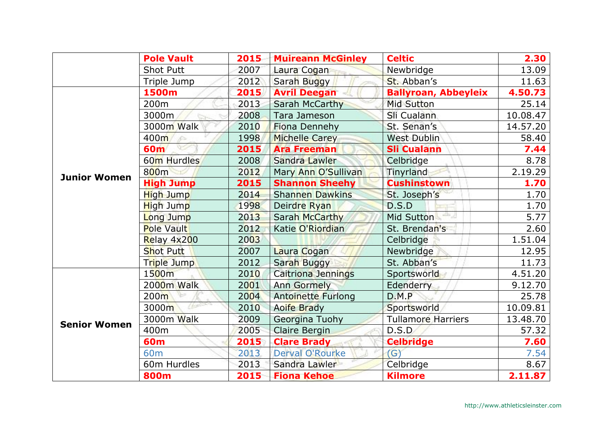|                     | <b>Pole Vault</b> | 2015 | <b>Muireann McGinley</b>  | <b>Celtic</b>               | 2.30     |
|---------------------|-------------------|------|---------------------------|-----------------------------|----------|
|                     | <b>Shot Putt</b>  | 2007 | Laura Cogan               | Newbridge                   | 13.09    |
|                     | Triple Jump       | 2012 | Sarah Buggy               | St. Abban's                 | 11.63    |
|                     | 1500m             | 2015 | <b>Avril Deegan</b>       | <b>Ballyroan, Abbeyleix</b> | 4.50.73  |
|                     | 200m              | 2013 | Sarah McCarthy            | <b>Mid Sutton</b>           | 25.14    |
|                     | 3000m             | 2008 | Tara Jameson              | Sli Cualann                 | 10.08.47 |
|                     | 3000m Walk        | 2010 | <b>Fiona Dennehy</b>      | St. Senan's                 | 14.57.20 |
|                     | 400m              | 1998 | <b>Michelle Carey</b>     | <b>West Dublin</b>          | 58.40    |
|                     | <b>60m</b>        | 2015 | <b>Ara Freeman</b>        | <b>Sli Cualann</b>          | 7.44     |
|                     | 60m Hurdles       | 2008 | Sandra Lawler             | Celbridge                   | 8.78     |
| <b>Junior Women</b> | 800 <sub>m</sub>  | 2012 | Mary Ann O'Sullivan       | Tinyrland                   | 2.19.29  |
|                     | <b>High Jump</b>  | 2015 | <b>Shannon Sheehy</b>     | <b>Cushinstown</b>          | 1.70     |
|                     | High Jump         | 2014 | <b>Shannen Dawkins</b>    | St. Joseph's                | 1.70     |
|                     | High Jump         | 1998 | Deirdre Ryan              | D.S.D                       | 1.70     |
|                     | Long Jump         | 2013 | <b>Sarah McCarthy</b>     | Mid Sutton                  | 5.77     |
|                     | <b>Pole Vault</b> | 2012 | Katie O'Riordian          | St. Brendan's               | 2.60     |
|                     | Relay 4x200       | 2003 |                           | Celbridge                   | 1.51.04  |
|                     | <b>Shot Putt</b>  | 2007 | Laura Cogan               | Newbridge                   | 12.95    |
|                     | Triple Jump       | 2012 | Sarah Buggy               | St. Abban's                 | 11.73    |
|                     | 1500m             | 2010 | Caitriona Jennings        | Sportsworld                 | 4.51.20  |
|                     | 2000m Walk        | 2001 | <b>Ann Gormely</b>        | Edenderry                   | 9.12.70  |
|                     | 200 <sub>m</sub>  | 2004 | <b>Antoinette Furlong</b> | D.M.P                       | 25.78    |
|                     | 3000m             | 2010 | <b>Aoife Brady</b>        | Sportsworld                 | 10.09.81 |
|                     | 3000m Walk        | 2009 | Georgina Tuohy            | <b>Tullamore Harriers</b>   | 13.48.70 |
| <b>Senior Women</b> | 400m              | 2005 | Claire Bergin             | D.S.D                       | 57.32    |
|                     | <b>60m</b>        | 2015 | <b>Clare Brady</b>        | <b>Celbridge</b>            | 7.60     |
|                     | 60 <sub>m</sub>   | 2013 | <b>Derval O'Rourke</b>    | $\mathsf{(G)}$              | 7.54     |
|                     | 60m Hurdles       | 2013 | Sandra Lawler             | Celbridge                   | 8.67     |
|                     | <b>800m</b>       | 2015 | <b>Fiona Kehoe</b>        | <b>Kilmore</b>              | 2.11.87  |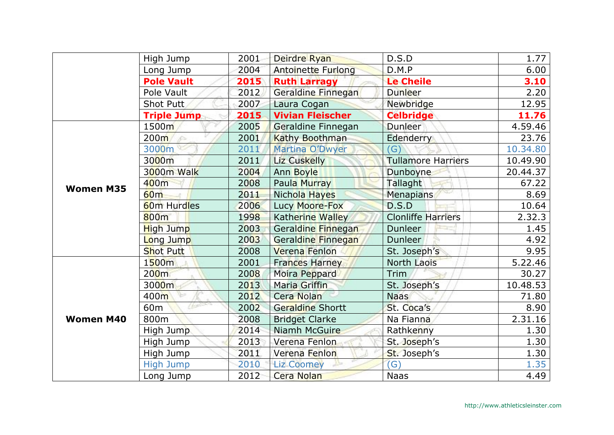|                  | High Jump          | 2001 | Deirdre Ryan              | D.S.D                     | 1.77     |
|------------------|--------------------|------|---------------------------|---------------------------|----------|
|                  | Long Jump          | 2004 | <b>Antoinette Furlong</b> | D.M.P                     | 6.00     |
|                  | <b>Pole Vault</b>  | 2015 | <b>Ruth Larragy</b>       | <b>Le Cheile</b>          | 3.10     |
|                  | Pole Vault         | 2012 | Geraldine Finnegan        | Dunleer                   | 2.20     |
|                  | Shot Putt          | 2007 | Laura Cogan               | <b>Newbridge</b>          | 12.95    |
|                  | <b>Triple Jump</b> | 2015 | <b>Vivian Fleischer</b>   | <b>Celbridge</b>          | 11.76    |
|                  | 1500m              | 2005 | Geraldine Finnegan        | Dunleer                   | 4.59.46  |
|                  | 200m               | 2001 | Kathy Boothman            | <b>Edenderry</b>          | 23.76    |
|                  | 3000m              | 2011 | Martina O'Dwyer           | $\mathcal{G}$             | 10.34.80 |
|                  | 3000m              | 2011 | Liz Cuskelly              | <b>Tullamore Harriers</b> | 10.49.90 |
|                  | 3000m Walk         | 2004 | Ann Boyle                 | Dunboyne                  | 20.44.37 |
| <b>Women M35</b> | 400m               | 2008 | Paula Murray              | Tallaght                  | 67.22    |
|                  | 60 <sub>m</sub>    | 2011 | Nichola Hayes             | Menapians                 | 8.69     |
|                  | <b>60m Hurdles</b> | 2006 | Lucy Moore-Fox            | D.S.D                     | 10.64    |
|                  | <b>800m</b>        | 1998 | Katherine Walley          | <b>Clonliffe Harriers</b> | 2.32.3   |
|                  | <b>High Jump</b>   | 2003 | Geraldine Finnegan        | Dunleer                   | 1.45     |
|                  | Long Jump          | 2003 | Geraldine Finnegan        | Dunleer                   | 4.92     |
|                  | <b>Shot Putt</b>   | 2008 | Verena Fenlon             | St. Joseph's              | 9.95     |
| <b>Women M40</b> | 1500m              | 2001 | <b>Frances Harney</b>     | <b>North Laois</b>        | 5.22.46  |
|                  | 200 <sub>m</sub>   | 2008 | Moira Peppard             | Trim                      | 30.27    |
|                  | 3000m              | 2013 | Maria Griffin             | St. Joseph's              | 10.48.53 |
|                  | 400m               | 2012 | Cera Nolan                | <b>Naas</b>               | 71.80    |
|                  | $1 - 800$<br>60m   | 2002 | <b>Geraldine Shortt</b>   | St. Coca's                | 8.90     |
|                  | 800m               | 2008 | <b>Bridget Clarke</b>     | Na Fianna                 | 2.31.16  |
|                  | High Jump          | 2014 | Niamh McGuire             | Rathkenny                 | 1.30     |
|                  | High Jump          | 2013 | Verena Fenlon             | St. Joseph's              | 1.30     |
|                  | High Jump          | 2011 | Verena Fenlon             | St. Joseph's              | 1.30     |
|                  | <b>High Jump</b>   | 2010 | <b>Liz Coomey</b>         | (G)                       | 1.35     |
|                  | Long Jump          | 2012 | <b>Cera Nolan</b>         | <b>Naas</b>               | 4.49     |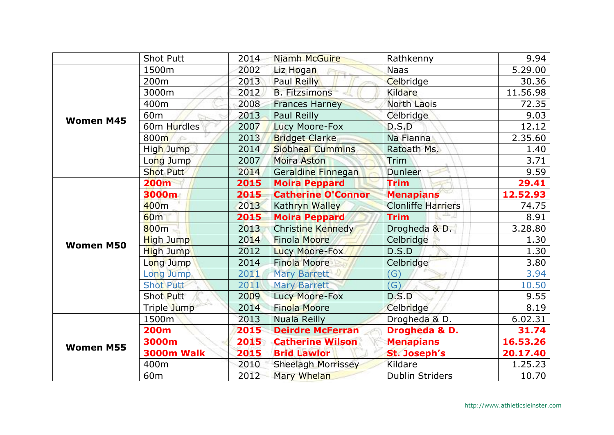|                  | <b>Shot Putt</b>  | 2014 | Niamh McGuire             | Rathkenny                 | 9.94     |
|------------------|-------------------|------|---------------------------|---------------------------|----------|
| <b>Women M45</b> | 1500m             | 2002 | Liz Hogan                 | <b>Naas</b>               | 5.29.00  |
|                  | 200m              | 2013 | Paul Reilly               | Celbridge                 | 30.36    |
|                  | 3000m             | 2012 | <b>B.</b> Fitzsimons      | Kildare                   | 11.56.98 |
|                  | 400m              | 2008 | <b>Frances Harney</b>     | <b>North Laois</b>        | 72.35    |
|                  | 60 <sub>m</sub>   | 2013 | Paul Reilly               | Celbridge                 | 9.03     |
|                  | 60m Hurdles       | 2007 | Lucy Moore-Fox            | D.S.D                     | 12.12    |
|                  | 800m              | 2013 | <b>Bridget Clarke</b>     | Na Fianna                 | 2.35.60  |
|                  | High Jump         | 2014 | <b>Siobheal Cummins</b>   | Ratoath Ms.               | 1.40     |
|                  | Long Jump         | 2007 | <b>Moira Aston</b>        | Trim                      | 3.71     |
|                  | <b>Shot Putt</b>  | 2014 | Geraldine Finnegan        | Dunleer                   | 9.59     |
|                  | <b>200m</b>       | 2015 | <b>Moira Peppard</b>      | <b>Trim</b>               | 29.41    |
| <b>Women M50</b> | 3000m             | 2015 | <b>Catherine O'Connor</b> | <b>Menapians</b>          | 12.52.93 |
|                  | 400m              | 2013 | Kathryn Walley            | <b>Clonliffe Harriers</b> | 74.75    |
|                  | 60m               | 2015 | <b>Moira Peppard</b>      | 半月<br><b>Trim</b>         | 8.91     |
|                  | 800m              | 2013 | Christine Kennedy         | Drogheda & D.             | 3.28.80  |
|                  | <b>High Jump</b>  | 2014 | <b>Finola Moore</b>       | Celbridge                 | 1.30     |
|                  | <b>High Jump</b>  | 2012 | Lucy Moore-Fox            | D.S.D                     | 1.30     |
|                  | Long Jump         | 2014 | <b>Finola Moore</b>       | Celbridge                 | 3.80     |
|                  | Long Jump         | 2011 | <b>Mary Barrett</b>       | (G)                       | 3.94     |
|                  | <b>Shot Putt</b>  | 2011 | <b>Mary Barrett</b>       | (G)                       | 10.50    |
|                  | Shot Putt         | 2009 | Lucy Moore-Fox            | D.S.D                     | 9.55     |
|                  | Triple Jump       | 2014 | <b>Finola Moore</b>       | Celbridge                 | 8.19     |
| <b>Women M55</b> | 1500m             | 2013 | <b>Nuala Reilly</b>       | Drogheda & D.             | 6.02.31  |
|                  | <b>200m</b>       | 2015 | <b>Deirdre McFerran</b>   | Drogheda & D.             | 31.74    |
|                  | 3000m             | 2015 | <b>Catherine Wilson</b>   | <b>Menapians</b>          | 16.53.26 |
|                  | <b>3000m Walk</b> | 2015 | <b>Brid Lawlor</b>        | <b>St. Joseph's</b>       | 20.17.40 |
|                  | 400m              | 2010 | <b>Sheelagh Morrissey</b> | Kildare                   | 1.25.23  |
|                  | 60 <sub>m</sub>   | 2012 | Mary Whelan               | <b>Dublin Striders</b>    | 10.70    |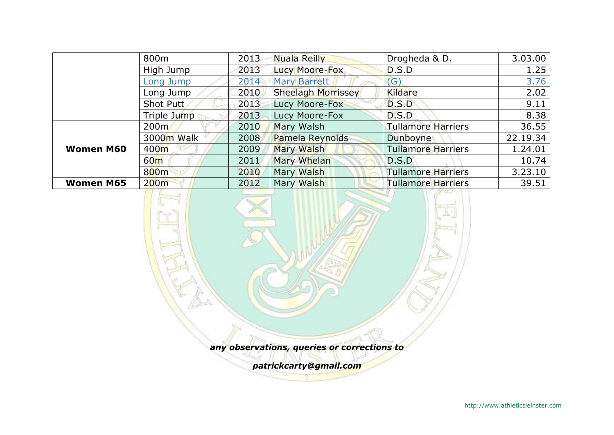|                  | 800m             | 2013 | <b>Nuala Reilly</b>       | Drogheda & D.             | 3.03.00  |
|------------------|------------------|------|---------------------------|---------------------------|----------|
|                  | High Jump        | 2013 | Lucy Moore-Fox            | D.S.D                     | 1.25     |
|                  | Long Jump        | 2014 | <b>Mary Barrett</b>       | $\mathsf{G}$              | 3.76     |
|                  | Long Jump        | 2010 | <b>Sheelagh Morrissey</b> | Kildare                   | 2.02     |
|                  | Shot Putt        | 2013 | Lucy Moore-Fox            | D.S.D                     | 9.11     |
|                  | Triple Jump      | 2013 | Lucy Moore-Fox            | D.S.D                     | 8.38     |
| <b>Women M60</b> | 200 <sub>m</sub> | 2010 | Mary Walsh                | <b>Tullamore Harriers</b> | 36.55    |
|                  | 3000m Walk       | 2008 | Pamela Reynolds           | <b>Dunboyne</b>           | 22.19.34 |
|                  | 400 <sub>m</sub> | 2009 | Mary Walsh                | <b>Tullamore Harriers</b> | 1.24.01  |
|                  | 60 <sub>m</sub>  | 2011 | <b>Mary Whelan</b>        | D.S.D                     | 10.74    |
|                  | 800 <sub>m</sub> | 2010 | Mary Walsh                | <b>Tullamore Harriers</b> | 3.23.10  |
| <b>Women M65</b> | 200m             | 2012 | Mary Walsh                | <b>Tullamore Harriers</b> | 39.51    |

*any observations, queries or corrections to*

*patrickcarty@gmail.com*